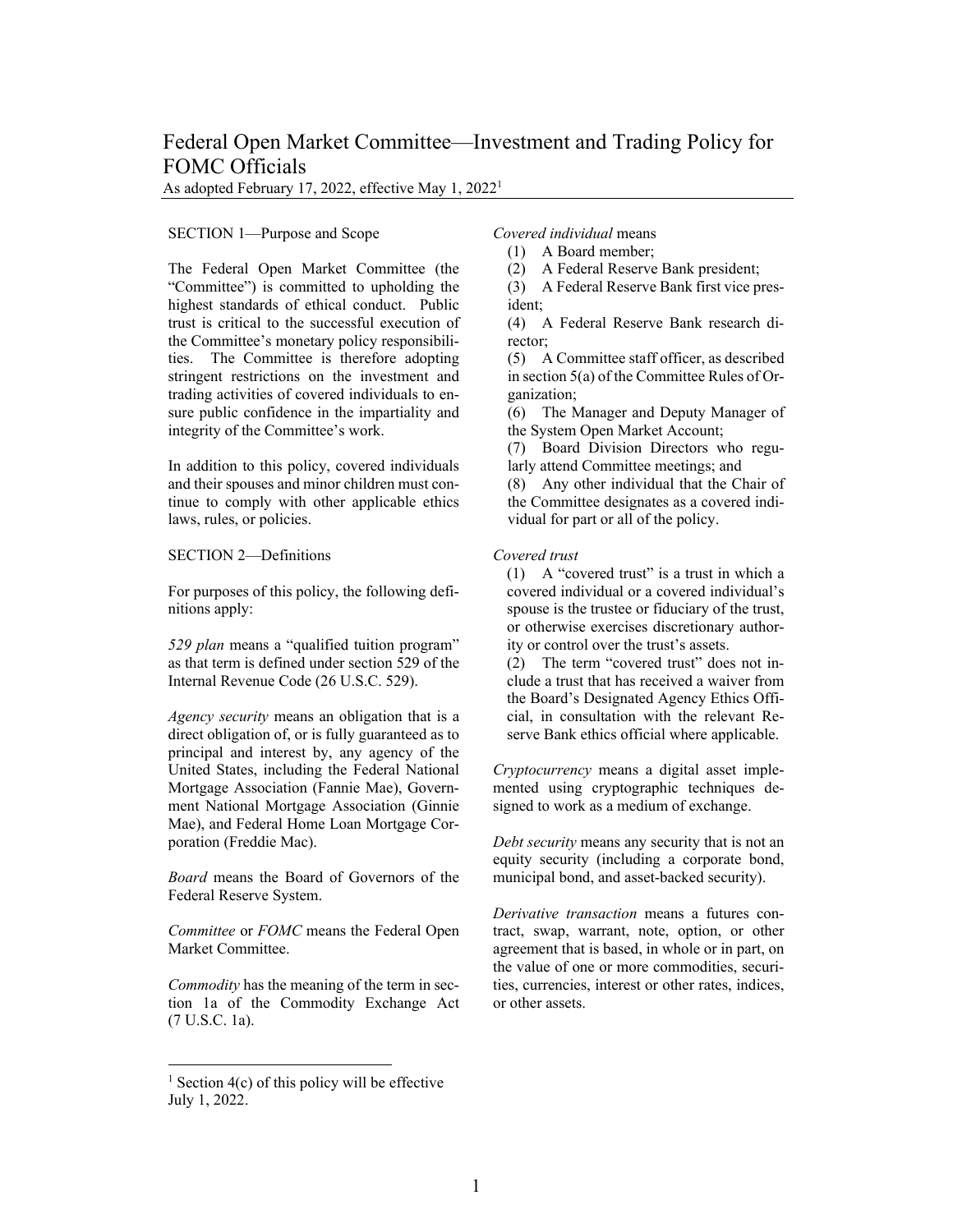# Federal Open Market Committee—Investment and Trading Policy for FOMC Officials

As adopted February 17, 2022, effective May 1, 20221

### SECTION [1](#page-0-0)—Purpose and Scope

The Federal Open Market Committee (the "Committee") is committed to upholding the highest standards of ethical conduct. Public trust is critical to the successful execution of the Committee's monetary policy responsibilities. The Committee is therefore adopting stringent restrictions on the investment and trading activities of covered individuals to ensure public confidence in the impartiality and integrity of the Committee's work.

In addition to this policy, covered individuals and their spouses and minor children must continue to comply with other applicable ethics laws, rules, or policies.

# SECTION 2—Definitions

For purposes of this policy, the following definitions apply:

*529 plan* means a "qualified tuition program" as that term is defined under section 529 of the Internal Revenue Code (26 U.S.C. 529).

*Agency security* means an obligation that is a direct obligation of, or is fully guaranteed as to principal and interest by, any agency of the United States, including the Federal National Mortgage Association (Fannie Mae), Government National Mortgage Association (Ginnie Mae), and Federal Home Loan Mortgage Corporation (Freddie Mac).

*Board* means the Board of Governors of the Federal Reserve System.

*Committee* or *FOMC* means the Federal Open Market Committee.

*Commodity* has the meaning of the term in section 1a of the Commodity Exchange Act (7 U.S.C. 1a).

*Covered individual* means

(1) A Board member;

(2) A Federal Reserve Bank president;

(3) A Federal Reserve Bank first vice president;

(4) A Federal Reserve Bank research director;

(5) A Committee staff officer, as described in section 5(a) of the Committee Rules of Organization;

(6) The Manager and Deputy Manager of the System Open Market Account;

(7) Board Division Directors who regularly attend Committee meetings; and

(8) Any other individual that the Chair of the Committee designates as a covered individual for part or all of the policy.

# *Covered trust*

(1) A "covered trust" is a trust in which a covered individual or a covered individual's spouse is the trustee or fiduciary of the trust, or otherwise exercises discretionary authority or control over the trust's assets.

(2) The term "covered trust" does not include a trust that has received a waiver from the Board's Designated Agency Ethics Official, in consultation with the relevant Reserve Bank ethics official where applicable.

*Cryptocurrency* means a digital asset implemented using cryptographic techniques designed to work as a medium of exchange.

*Debt security* means any security that is not an equity security (including a corporate bond, municipal bond, and asset-backed security).

*Derivative transaction* means a futures contract, swap, warrant, note, option, or other agreement that is based, in whole or in part, on the value of one or more commodities, securities, currencies, interest or other rates, indices, or other assets.

<span id="page-0-0"></span><sup>&</sup>lt;sup>1</sup> Section  $4(c)$  of this policy will be effective July 1, 2022.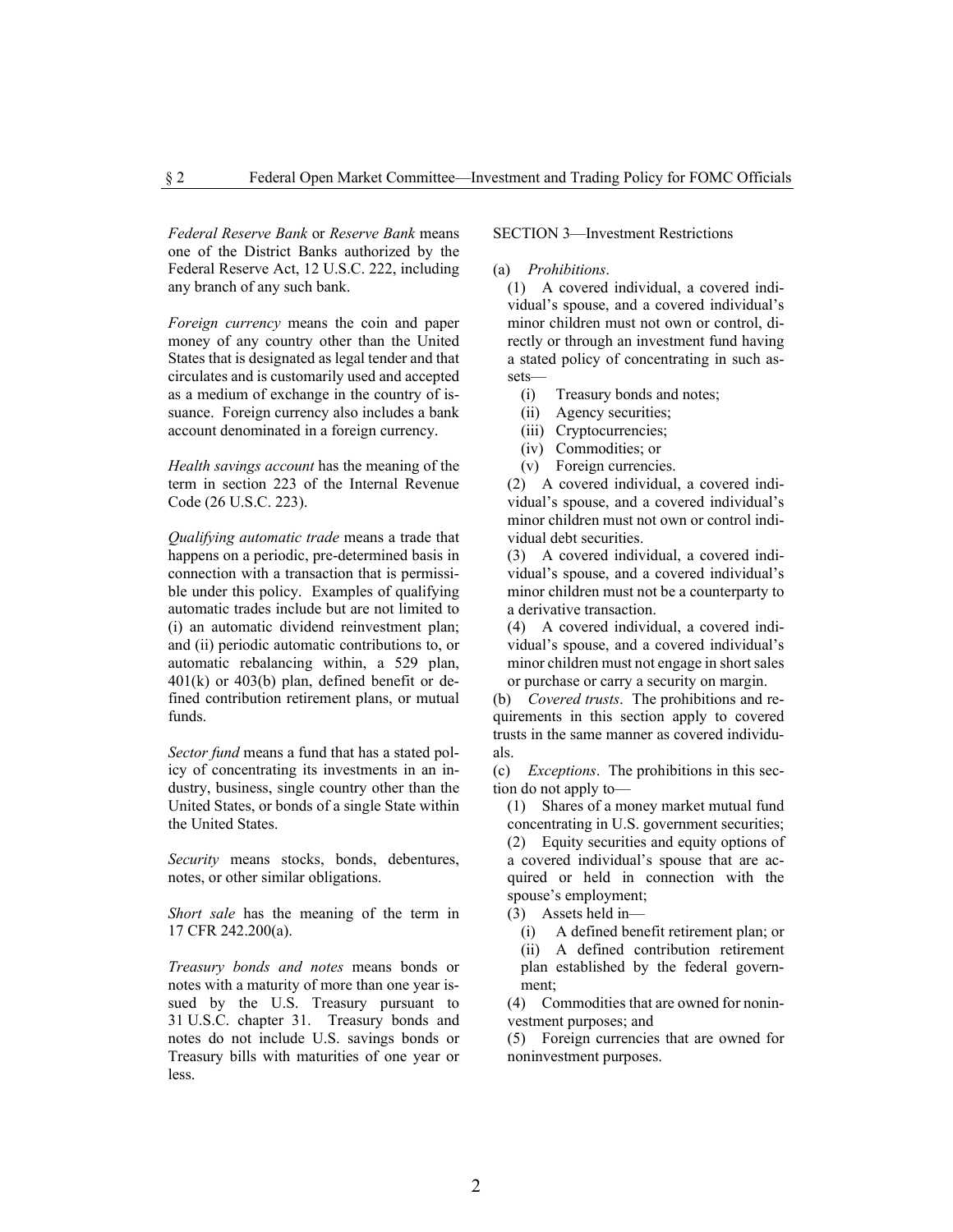*Federal Reserve Bank* or *Reserve Bank* means one of the District Banks authorized by the Federal Reserve Act, 12 U.S.C. 222, including any branch of any such bank.

*Foreign currency* means the coin and paper money of any country other than the United States that is designated as legal tender and that circulates and is customarily used and accepted as a medium of exchange in the country of issuance. Foreign currency also includes a bank account denominated in a foreign currency.

*Health savings account* has the meaning of the term in section 223 of the Internal Revenue Code (26 U.S.C. 223).

*Qualifying automatic trade* means a trade that happens on a periodic, pre-determined basis in connection with a transaction that is permissible under this policy. Examples of qualifying automatic trades include but are not limited to (i) an automatic dividend reinvestment plan; and (ii) periodic automatic contributions to, or automatic rebalancing within, a 529 plan,  $401(k)$  or  $403(b)$  plan, defined benefit or defined contribution retirement plans, or mutual funds.

*Sector fund* means a fund that has a stated policy of concentrating its investments in an industry, business, single country other than the United States, or bonds of a single State within the United States.

*Security* means stocks, bonds, debentures, notes, or other similar obligations.

*Short sale* has the meaning of the term in 17 CFR 242.200(a).

*Treasury bonds and notes* means bonds or notes with a maturity of more than one year issued by the U.S. Treasury pursuant to 31 U.S.C. chapter 31. Treasury bonds and notes do not include U.S. savings bonds or Treasury bills with maturities of one year or less.

SECTION 3—Investment Restrictions

#### (a) *Prohibitions*.

(1) A covered individual, a covered individual's spouse, and a covered individual's minor children must not own or control, directly or through an investment fund having a stated policy of concentrating in such assets—

- (i) Treasury bonds and notes;
- (ii) Agency securities;
- (iii) Cryptocurrencies;
- (iv) Commodities; or
- (v) Foreign currencies.

(2) A covered individual, a covered individual's spouse, and a covered individual's minor children must not own or control individual debt securities.

(3) A covered individual, a covered individual's spouse, and a covered individual's minor children must not be a counterparty to a derivative transaction.

(4) A covered individual, a covered individual's spouse, and a covered individual's minor children must not engage in short sales or purchase or carry a security on margin.

(b) *Covered trusts*. The prohibitions and requirements in this section apply to covered trusts in the same manner as covered individuals.

(c) *Exceptions*. The prohibitions in this section do not apply to—

(1) Shares of a money market mutual fund concentrating in U.S. government securities;

(2) Equity securities and equity options of a covered individual's spouse that are acquired or held in connection with the spouse's employment;

(3) Assets held in—

(i) A defined benefit retirement plan; or (ii) A defined contribution retirement plan established by the federal govern-

ment;

(4) Commodities that are owned for noninvestment purposes; and

(5) Foreign currencies that are owned for noninvestment purposes.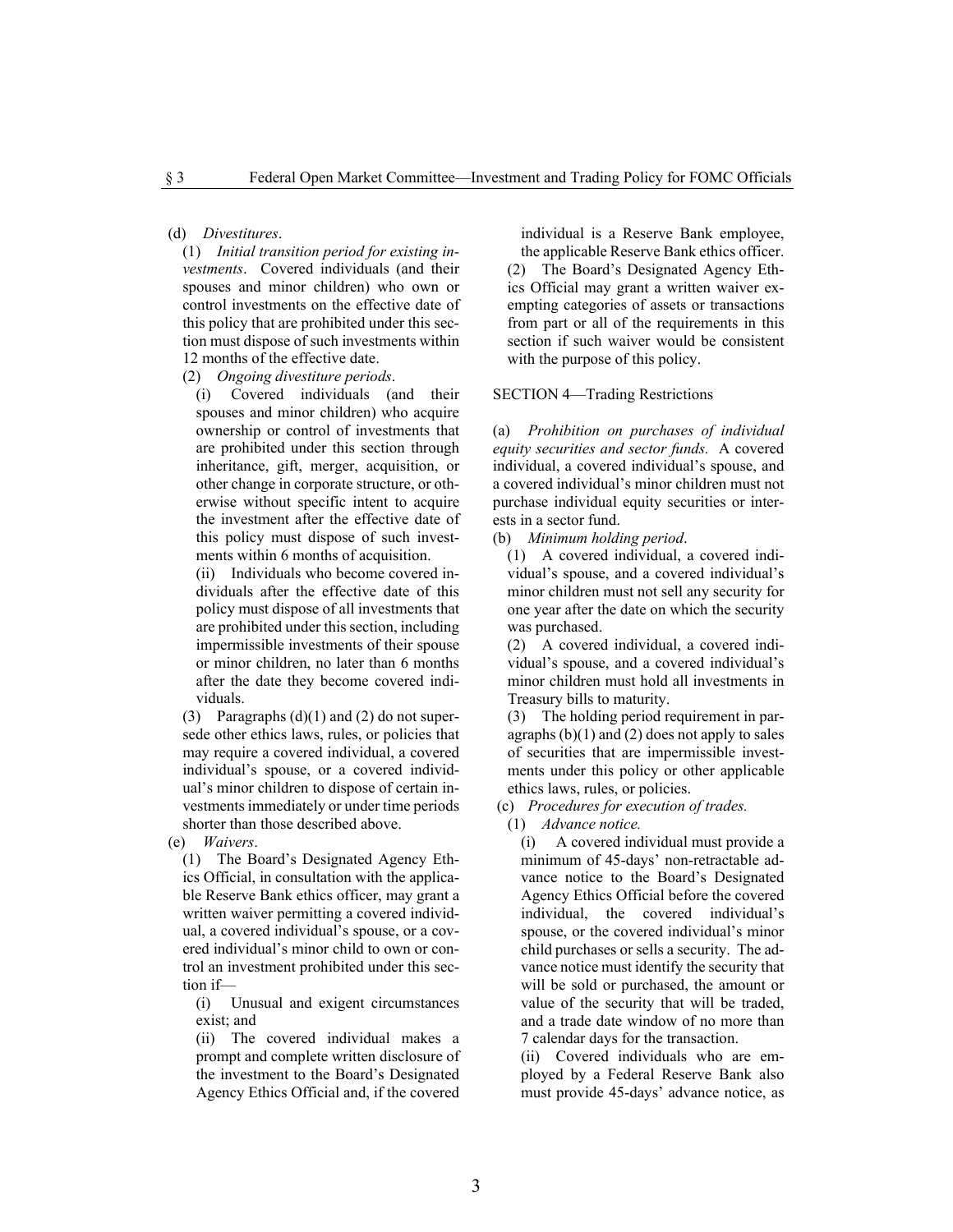(d) *Divestitures*.

(1) *Initial transition period for existing investments*. Covered individuals (and their spouses and minor children) who own or control investments on the effective date of this policy that are prohibited under this section must dispose of such investments within 12 months of the effective date.

(2) *Ongoing divestiture periods*.

(i) Covered individuals (and their spouses and minor children) who acquire ownership or control of investments that are prohibited under this section through inheritance, gift, merger, acquisition, or other change in corporate structure, or otherwise without specific intent to acquire the investment after the effective date of this policy must dispose of such investments within 6 months of acquisition.

(ii) Individuals who become covered individuals after the effective date of this policy must dispose of all investments that are prohibited under this section, including impermissible investments of their spouse or minor children, no later than 6 months after the date they become covered individuals.

(3) Paragraphs  $(d)(1)$  and  $(2)$  do not supersede other ethics laws, rules, or policies that may require a covered individual, a covered individual's spouse, or a covered individual's minor children to dispose of certain investments immediately or under time periods shorter than those described above.

(e) *Waivers*.

(1) The Board's Designated Agency Ethics Official, in consultation with the applicable Reserve Bank ethics officer, may grant a written waiver permitting a covered individual, a covered individual's spouse, or a covered individual's minor child to own or control an investment prohibited under this section if—

(i) Unusual and exigent circumstances exist; and

(ii) The covered individual makes a prompt and complete written disclosure of the investment to the Board's Designated Agency Ethics Official and, if the covered

individual is a Reserve Bank employee, the applicable Reserve Bank ethics officer. (2) The Board's Designated Agency Ethics Official may grant a written waiver exempting categories of assets or transactions from part or all of the requirements in this section if such waiver would be consistent with the purpose of this policy.

#### SECTION 4—Trading Restrictions

(a) *Prohibition on purchases of individual equity securities and sector funds.* A covered individual, a covered individual's spouse, and a covered individual's minor children must not purchase individual equity securities or interests in a sector fund.

(b) *Minimum holding period*.

(1) A covered individual, a covered individual's spouse, and a covered individual's minor children must not sell any security for one year after the date on which the security was purchased.

(2) A covered individual, a covered individual's spouse, and a covered individual's minor children must hold all investments in Treasury bills to maturity.

(3) The holding period requirement in paragraphs  $(b)(1)$  and  $(2)$  does not apply to sales of securities that are impermissible investments under this policy or other applicable ethics laws, rules, or policies.

(c) *Procedures for execution of trades.*

(1) *Advance notice.*

(i) A covered individual must provide a minimum of 45-days' non-retractable advance notice to the Board's Designated Agency Ethics Official before the covered individual, the covered individual's spouse, or the covered individual's minor child purchases or sells a security. The advance notice must identify the security that will be sold or purchased, the amount or value of the security that will be traded, and a trade date window of no more than 7 calendar days for the transaction.

(ii) Covered individuals who are employed by a Federal Reserve Bank also must provide 45-days' advance notice, as

3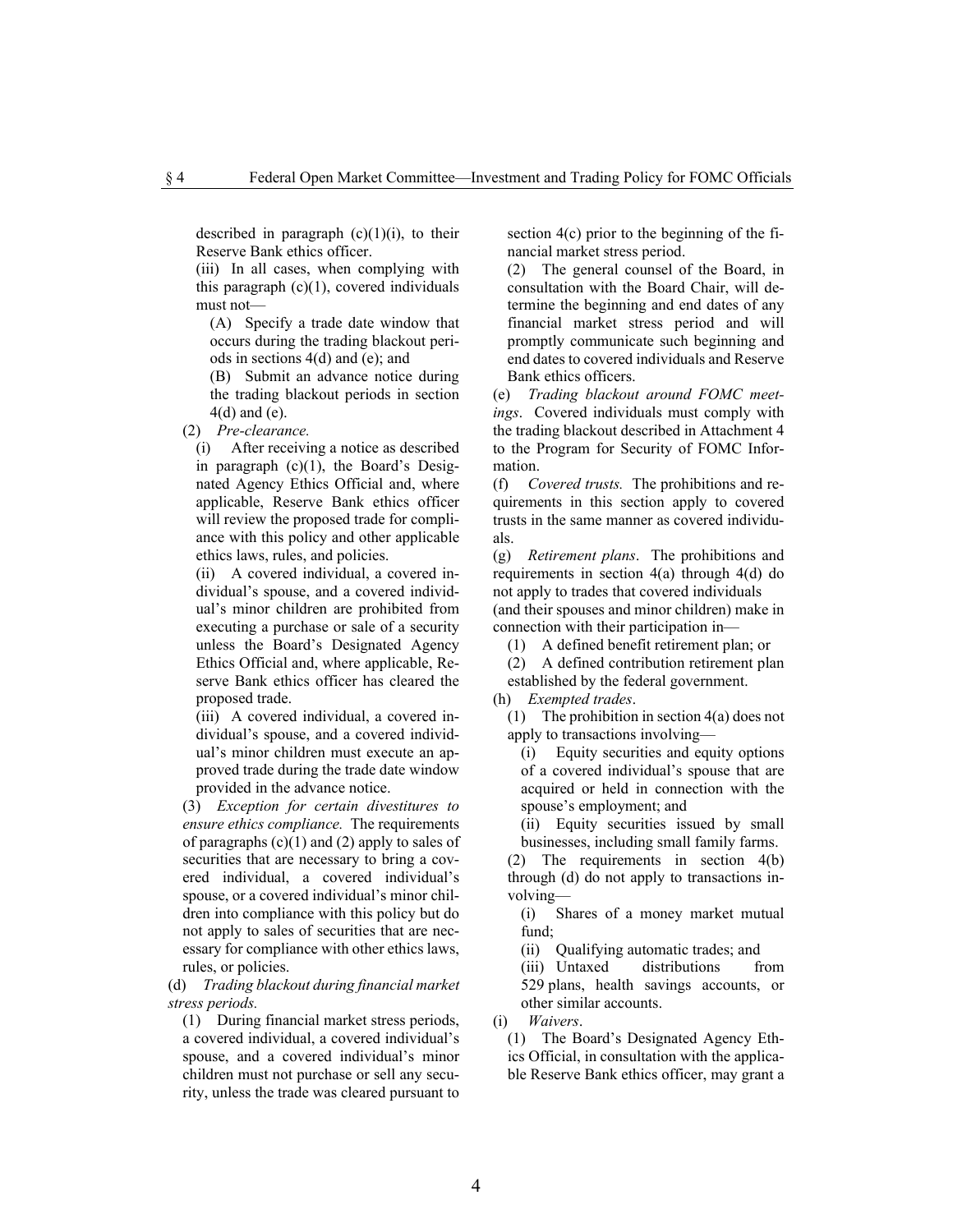described in paragraph  $(c)(1)(i)$ , to their Reserve Bank ethics officer.

(iii) In all cases, when complying with this paragraph  $(c)(1)$ , covered individuals must not—

(A) Specify a trade date window that occurs during the trading blackout periods in sections 4(d) and (e); and

(B) Submit an advance notice during the trading blackout periods in section 4(d) and (e).

(2) *Pre-clearance.*

(i) After receiving a notice as described in paragraph (c)(1), the Board's Designated Agency Ethics Official and, where applicable, Reserve Bank ethics officer will review the proposed trade for compliance with this policy and other applicable ethics laws, rules, and policies.

(ii) A covered individual, a covered individual's spouse, and a covered individual's minor children are prohibited from executing a purchase or sale of a security unless the Board's Designated Agency Ethics Official and, where applicable, Reserve Bank ethics officer has cleared the proposed trade.

(iii) A covered individual, a covered individual's spouse, and a covered individual's minor children must execute an approved trade during the trade date window provided in the advance notice.

(3) *Exception for certain divestitures to ensure ethics compliance.* The requirements of paragraphs  $(c)(1)$  and  $(2)$  apply to sales of securities that are necessary to bring a covered individual, a covered individual's spouse, or a covered individual's minor children into compliance with this policy but do not apply to sales of securities that are necessary for compliance with other ethics laws, rules, or policies.

(d) *Trading blackout during financial market stress periods.*

(1) During financial market stress periods, a covered individual, a covered individual's spouse, and a covered individual's minor children must not purchase or sell any security, unless the trade was cleared pursuant to section 4(c) prior to the beginning of the financial market stress period.

(2) The general counsel of the Board, in consultation with the Board Chair, will determine the beginning and end dates of any financial market stress period and will promptly communicate such beginning and end dates to covered individuals and Reserve Bank ethics officers.

(e) *Trading blackout around FOMC meetings*. Covered individuals must comply with the trading blackout described in Attachment 4 to the Program for Security of FOMC Information.

(f) *Covered trusts.* The prohibitions and requirements in this section apply to covered trusts in the same manner as covered individuals.

(g) *Retirement plans*. The prohibitions and requirements in section 4(a) through 4(d) do not apply to trades that covered individuals (and their spouses and minor children) make in connection with their participation in—

(1) A defined benefit retirement plan; or

- (2) A defined contribution retirement plan established by the federal government.
- (h) *Exempted trades*.

(1) The prohibition in section 4(a) does not apply to transactions involving—

(i) Equity securities and equity options of a covered individual's spouse that are acquired or held in connection with the spouse's employment; and

(ii) Equity securities issued by small businesses, including small family farms.

(2) The requirements in section 4(b) through (d) do not apply to transactions involving—

(i) Shares of a money market mutual fund;

(ii) Qualifying automatic trades; and<br>(iii) Untaxed distributions fi

(iii) Untaxed distributions from 529 plans, health savings accounts, or other similar accounts.

(i) *Waivers*.

(1) The Board's Designated Agency Ethics Official, in consultation with the applicable Reserve Bank ethics officer, may grant a